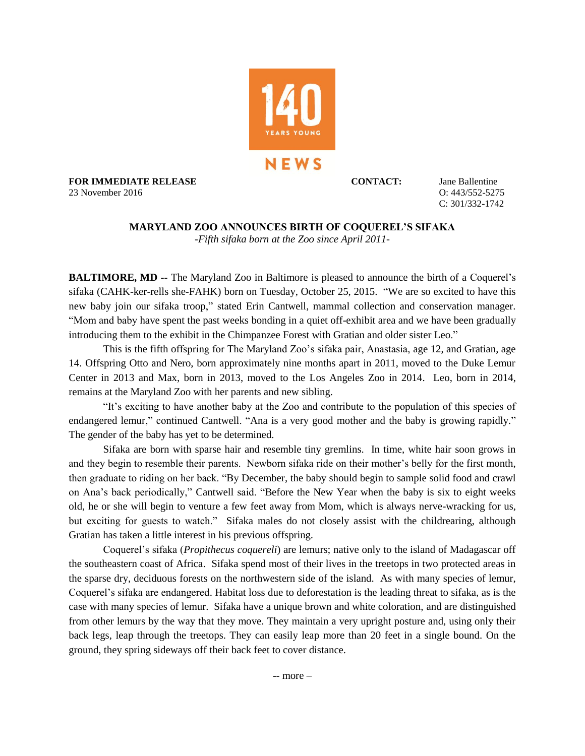

**FOR IMMEDIATE RELEASE CONTACT:** Jane Ballentine 23 November 2016 O: 443/552-5275

C: 301/332-1742

## **MARYLAND ZOO ANNOUNCES BIRTH OF COQUEREL'S SIFAKA**  -*Fifth sifaka born at the Zoo since April 2011-*

**BALTIMORE, MD --** The Maryland Zoo in Baltimore is pleased to announce the birth of a Coquerel's sifaka (CAHK-ker-rells she-FAHK) born on Tuesday, October 25, 2015. "We are so excited to have this new baby join our sifaka troop," stated Erin Cantwell, mammal collection and conservation manager. "Mom and baby have spent the past weeks bonding in a quiet off-exhibit area and we have been gradually introducing them to the exhibit in the Chimpanzee Forest with Gratian and older sister Leo."

This is the fifth offspring for The Maryland Zoo's sifaka pair, Anastasia, age 12, and Gratian, age 14. Offspring Otto and Nero, born approximately nine months apart in 2011, moved to the Duke Lemur Center in 2013 and Max, born in 2013, moved to the Los Angeles Zoo in 2014. Leo, born in 2014, remains at the Maryland Zoo with her parents and new sibling.

"It's exciting to have another baby at the Zoo and contribute to the population of this species of endangered lemur," continued Cantwell. "Ana is a very good mother and the baby is growing rapidly." The gender of the baby has yet to be determined.

Sifaka are born with sparse hair and resemble tiny gremlins. In time, white hair soon grows in and they begin to resemble their parents. Newborn sifaka ride on their mother's belly for the first month, then graduate to riding on her back. "By December, the baby should begin to sample solid food and crawl on Ana's back periodically," Cantwell said. "Before the New Year when the baby is six to eight weeks old, he or she will begin to venture a few feet away from Mom, which is always nerve-wracking for us, but exciting for guests to watch." Sifaka males do not closely assist with the childrearing, although Gratian has taken a little interest in his previous offspring.

Coquerel's sifaka (*Propithecus coquereli*) are lemurs; native only to the island of Madagascar off the southeastern coast of Africa. Sifaka spend most of their lives in the treetops in two protected areas in the sparse dry, deciduous forests on the northwestern side of the island. As with many species of lemur, Coquerel's sifaka are endangered. Habitat loss due to deforestation is the leading threat to sifaka, as is the case with many species of lemur. Sifaka have a unique brown and white coloration, and are distinguished from other lemurs by the way that they move. They maintain a very upright posture and, using only their back legs, leap through the treetops. They can easily leap more than 20 feet in a single bound. On the ground, they spring sideways off their back feet to cover distance.

-- more –